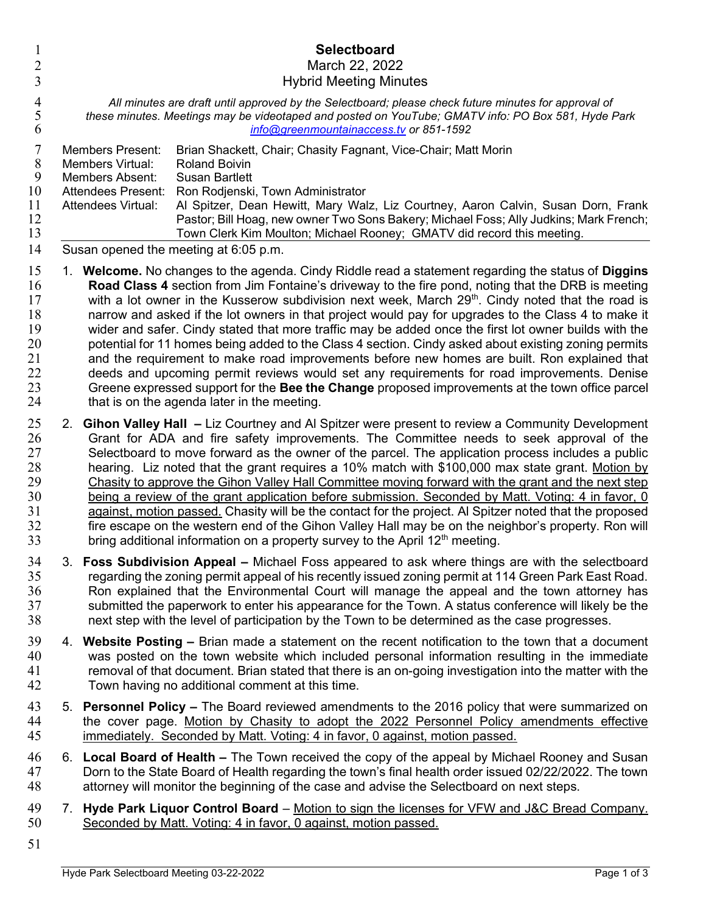| $\overline{c}$<br>3                                      |                                                                                                                                                                                                                                                       | <b>Selectboard</b><br>March 22, 2022<br><b>Hybrid Meeting Minutes</b>                                                                                                                                                                                                                                                                                                                                                                                                                                                                                                                                                                                                                                                                                                                                                                                                                                                                                                                                     |
|----------------------------------------------------------|-------------------------------------------------------------------------------------------------------------------------------------------------------------------------------------------------------------------------------------------------------|-----------------------------------------------------------------------------------------------------------------------------------------------------------------------------------------------------------------------------------------------------------------------------------------------------------------------------------------------------------------------------------------------------------------------------------------------------------------------------------------------------------------------------------------------------------------------------------------------------------------------------------------------------------------------------------------------------------------------------------------------------------------------------------------------------------------------------------------------------------------------------------------------------------------------------------------------------------------------------------------------------------|
| 4<br>5<br>6                                              | All minutes are draft until approved by the Selectboard; please check future minutes for approval of<br>these minutes. Meetings may be videotaped and posted on YouTube; GMATV info: PO Box 581, Hyde Park<br>info@greenmountainaccess.tv or 851-1592 |                                                                                                                                                                                                                                                                                                                                                                                                                                                                                                                                                                                                                                                                                                                                                                                                                                                                                                                                                                                                           |
| 7<br>$\, 8$<br>9<br>10<br>11<br>12<br>13<br>14           |                                                                                                                                                                                                                                                       | <b>Members Present:</b><br>Brian Shackett, Chair; Chasity Fagnant, Vice-Chair; Matt Morin<br><b>Members Virtual:</b><br><b>Roland Boivin</b><br><b>Members Absent:</b><br><b>Susan Bartlett</b><br>Attendees Present:<br>Ron Rodjenski, Town Administrator<br>Al Spitzer, Dean Hewitt, Mary Walz, Liz Courtney, Aaron Calvin, Susan Dorn, Frank<br>Attendees Virtual:<br>Pastor; Bill Hoag, new owner Two Sons Bakery; Michael Foss; Ally Judkins; Mark French;<br>Town Clerk Kim Moulton; Michael Rooney; GMATV did record this meeting.<br>Susan opened the meeting at 6:05 p.m.                                                                                                                                                                                                                                                                                                                                                                                                                        |
| 15<br>16<br>17<br>18<br>19<br>20<br>21<br>22<br>23<br>24 |                                                                                                                                                                                                                                                       | 1. Welcome. No changes to the agenda. Cindy Riddle read a statement regarding the status of Diggins<br><b>Road Class 4</b> section from Jim Fontaine's driveway to the fire pond, noting that the DRB is meeting<br>with a lot owner in the Kusserow subdivision next week, March 29 <sup>th</sup> . Cindy noted that the road is<br>narrow and asked if the lot owners in that project would pay for upgrades to the Class 4 to make it<br>wider and safer. Cindy stated that more traffic may be added once the first lot owner builds with the<br>potential for 11 homes being added to the Class 4 section. Cindy asked about existing zoning permits<br>and the requirement to make road improvements before new homes are built. Ron explained that<br>deeds and upcoming permit reviews would set any requirements for road improvements. Denise<br>Greene expressed support for the Bee the Change proposed improvements at the town office parcel<br>that is on the agenda later in the meeting. |
| 25<br>26<br>27<br>28<br>29<br>30<br>31<br>32<br>33       |                                                                                                                                                                                                                                                       | 2. Gihon Valley Hall - Liz Courtney and Al Spitzer were present to review a Community Development<br>Grant for ADA and fire safety improvements. The Committee needs to seek approval of the<br>Selectboard to move forward as the owner of the parcel. The application process includes a public<br>hearing. Liz noted that the grant requires a 10% match with \$100,000 max state grant. Motion by<br>Chasity to approve the Gihon Valley Hall Committee moving forward with the grant and the next step<br><u>being a review of the grant application before submission. Seconded by Matt. Voting: 4 in favor, 0</u><br>against, motion passed. Chasity will be the contact for the project. Al Spitzer noted that the proposed<br>fire escape on the western end of the Gihon Valley Hall may be on the neighbor's property. Ron will<br>bring additional information on a property survey to the April 12 <sup>th</sup> meeting.                                                                    |
| 34<br>35<br>36<br>37<br>38                               |                                                                                                                                                                                                                                                       | 3. Foss Subdivision Appeal – Michael Foss appeared to ask where things are with the selectboard<br>regarding the zoning permit appeal of his recently issued zoning permit at 114 Green Park East Road.<br>Ron explained that the Environmental Court will manage the appeal and the town attorney has<br>submitted the paperwork to enter his appearance for the Town. A status conference will likely be the<br>next step with the level of participation by the Town to be determined as the case progresses.                                                                                                                                                                                                                                                                                                                                                                                                                                                                                          |
| 39<br>40<br>41<br>42                                     |                                                                                                                                                                                                                                                       | 4. Website Posting – Brian made a statement on the recent notification to the town that a document<br>was posted on the town website which included personal information resulting in the immediate<br>removal of that document. Brian stated that there is an on-going investigation into the matter with the<br>Town having no additional comment at this time.                                                                                                                                                                                                                                                                                                                                                                                                                                                                                                                                                                                                                                         |
| 43<br>44<br>45                                           |                                                                                                                                                                                                                                                       | 5. Personnel Policy - The Board reviewed amendments to the 2016 policy that were summarized on<br>the cover page. Motion by Chasity to adopt the 2022 Personnel Policy amendments effective<br>immediately. Seconded by Matt. Voting: 4 in favor, 0 against, motion passed.                                                                                                                                                                                                                                                                                                                                                                                                                                                                                                                                                                                                                                                                                                                               |
| 46<br>47<br>48                                           |                                                                                                                                                                                                                                                       | 6. Local Board of Health – The Town received the copy of the appeal by Michael Rooney and Susan<br>Dorn to the State Board of Health regarding the town's final health order issued 02/22/2022. The town<br>attorney will monitor the beginning of the case and advise the Selectboard on next steps.                                                                                                                                                                                                                                                                                                                                                                                                                                                                                                                                                                                                                                                                                                     |
| 49<br>50<br>51                                           |                                                                                                                                                                                                                                                       | 7. Hyde Park Liquor Control Board - Motion to sign the licenses for VFW and J&C Bread Company.<br>Seconded by Matt. Voting: 4 in favor, 0 against, motion passed.                                                                                                                                                                                                                                                                                                                                                                                                                                                                                                                                                                                                                                                                                                                                                                                                                                         |
| Hyde Park Selectboard Meeting 03-22-2022<br>Page 1 of 3  |                                                                                                                                                                                                                                                       |                                                                                                                                                                                                                                                                                                                                                                                                                                                                                                                                                                                                                                                                                                                                                                                                                                                                                                                                                                                                           |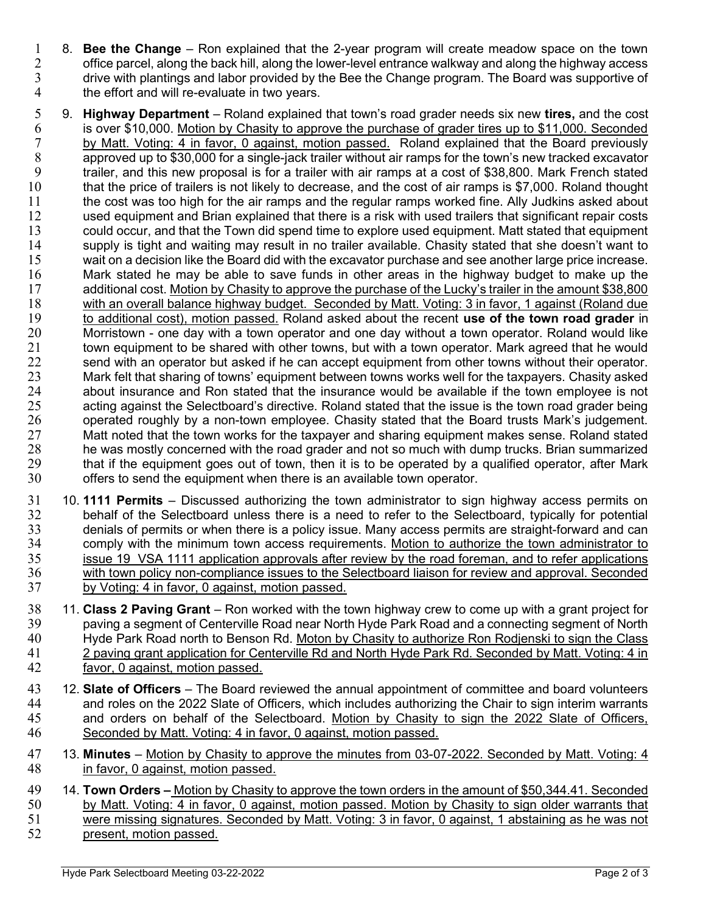- 1 8. Bee the Change Ron explained that the 2-year program will create meadow space on the town 2 office parcel, along the back hill, along the lower-level entrance walkway and along the highway access<br>3 drive with plantings and labor provided by the Bee the Change program. The Board was supportive of 3 drive with plantings and labor provided by the Bee the Change program. The Board was supportive of the effort and will re-evaluate in two years. the effort and will re-evaluate in two years.
- 5 9. Highway Department Roland explained that town's road grader needs six new tires, and the cost 6 is over \$10,000. Motion by Chasity to approve the purchase of grader tires up to \$11,000. Seconded 6 is over \$10,000. Motion by Chasity to approve the purchase of grader tires up to \$11,000. Seconded by Matt. Voting: 4 in favor, 0 against, motion passed. Roland explained that the Board previously 7 by Matt. Voting: 4 in favor, 0 against, motion passed. Roland explained that the Board previously 8 approved up to \$30,000 for a single-jack trailer without air ramps for the town's new tracked excavator<br>9 trailer, and this new proposal is for a trailer with air ramps at a cost of \$38,800. Mark French stated 9 trailer, and this new proposal is for a trailer with air ramps at a cost of \$38,800. Mark French stated 10 that the price of trailers is not likely to decrease, and the cost of air ramps is \$7,000. Roland thought 11 the cost was too high for the air ramps and the regular ramps worked fine. Ally Judkins asked about<br>12 used equipment and Brian explained that there is a risk with used trailers that significant repair costs 12 used equipment and Brian explained that there is a risk with used trailers that significant repair costs<br>13 could occur, and that the Town did spend time to explore used equipment. Matt stated that equipment could occur, and that the Town did spend time to explore used equipment. Matt stated that equipment 14 supply is tight and waiting may result in no trailer available. Chasity stated that she doesn't want to<br>15 wait on a decision like the Board did with the excavator purchase and see another large price increase. wait on a decision like the Board did with the excavator purchase and see another large price increase. 16 Mark stated he may be able to save funds in other areas in the highway budget to make up the 17 additional cost. Motion by Chasity to approve the purchase of the Lucky's trailer in the amount \$38,800 with an overall balance highway budget. Seconded by Matt. Voting: 3 in favor, 1 against (Roland due<br>19 to additional cost), motion passed. Roland asked about the recent use of the town road grader in to additional cost), motion passed. Roland asked about the recent use of the town road grader in 20 Morristown - one day with a town operator and one day without a town operator. Roland would like 21 town equipment to be shared with other towns, but with a town operator. Mark agreed that he would<br>22 send with an operator but asked if he can accept equipment from other towns without their operator. 22 send with an operator but asked if he can accept equipment from other towns without their operator.<br>23 Mark felt that sharing of towns' equipment between towns works well for the taxpayers. Chasity asked 23 Mark felt that sharing of towns' equipment between towns works well for the taxpayers. Chasity asked 24 about insurance and Ron stated that the insurance would be available if the town employee is not 25 acting against the Selectboard's directive. Roland stated that the issue is the town road grader being<br>26 operated roughly by a non-town employee. Chasity stated that the Board trusts Mark's judgement. 26 operated roughly by a non-town employee. Chasity stated that the Board trusts Mark's judgement.<br>27 Matt noted that the town works for the taxpayer and sharing equipment makes sense. Roland stated 27 Matt noted that the town works for the taxpayer and sharing equipment makes sense. Roland stated 28 he was mostly concerned with the road grader and not so much with dump trucks. Brian summarized<br>29 https://www.that if the equipment goes out of town, then it is to be operated by a qualified operator, after Mark that if the equipment goes out of town, then it is to be operated by a qualified operator, after Mark 30 offers to send the equipment when there is an available town operator.
- 31 10. 1111 Permits Discussed authorizing the town administrator to sign highway access permits on 32 behalf of the Selectboard unless there is a need to refer to the Selectboard, typically for potential<br>33 denials of permits or when there is a policy issue. Many access permits are straight-forward and can denials of permits or when there is a policy issue. Many access permits are straight-forward and can 34 comply with the minimum town access requirements. Motion to authorize the town administrator to<br>35 issue 19 VSA 1111 application approvals after review by the road foreman, and to refer applications issue 19 VSA 1111 application approvals after review by the road foreman, and to refer applications 36 with town policy non-compliance issues to the Selectboard liaison for review and approval. Seconded 37 by Voting: 4 in favor, 0 against, motion passed.
- 38 11. Class 2 Paving Grant Ron worked with the town highway crew to come up with a grant project for 39 paving a segment of Centerville Road near North Hyde Park Road and a connecting segment of North 40 Hyde Park Road north to Benson Rd. Moton by Chasity to authorize Ron Rodjenski to sign the Class 41 2 paving grant application for Centerville Rd and North Hyde Park Rd. Seconded by Matt. Voting: 4 in 42 favor, 0 against, motion passed.
- 43 12. Slate of Officers The Board reviewed the annual appointment of committee and board volunteers 44 and roles on the 2022 Slate of Officers, which includes authorizing the Chair to sign interim warrants 45 and orders on behalf of the Selectboard. Motion by Chasity to sign the 2022 Slate of Officers, 46 Seconded by Matt. Voting: 4 in favor, 0 against, motion passed.
- 47 13. Minutes Motion by Chasity to approve the minutes from 03-07-2022. Seconded by Matt. Voting: 4 48 in favor, 0 against, motion passed.
- 49 14. Town Orders Motion by Chasity to approve the town orders in the amount of \$50,344.41. Seconded 50 by Matt. Voting: 4 in favor, 0 against, motion passed. Motion by Chasity to sign older warrants that 51 were missing signatures. Seconded by Matt. Voting: 3 in favor, 0 against, 1 abstaining as he was not 52 present, motion passed.